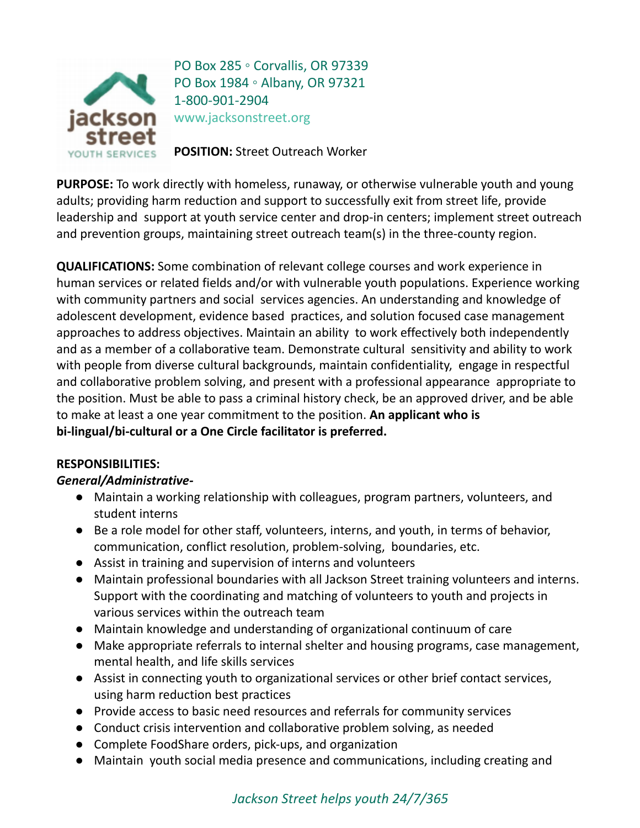

PO Box 285 。 Corvallis, OR 97339 PO Box 1984 。 Albany, OR 97321 1-800-901-2904 www.jacksonstreet.org

**POSITION:** Street Outreach Worker

**PURPOSE:** To work directly with homeless, runaway, or otherwise vulnerable youth and young adults; providing harm reduction and support to successfully exit from street life, provide leadership and support at youth service center and drop-in centers; implement street outreach and prevention groups, maintaining street outreach team(s) in the three-county region.

**QUALIFICATIONS:** Some combination of relevant college courses and work experience in human services or related fields and/or with vulnerable youth populations. Experience working with community partners and social services agencies. An understanding and knowledge of adolescent development, evidence based practices, and solution focused case management approaches to address objectives. Maintain an ability to work effectively both independently and as a member of a collaborative team. Demonstrate cultural sensitivity and ability to work with people from diverse cultural backgrounds, maintain confidentiality, engage in respectful and collaborative problem solving, and present with a professional appearance appropriate to the position. Must be able to pass a criminal history check, be an approved driver, and be able to make at least a one year commitment to the position. **An applicant who is bi-lingual/bi-cultural or a One Circle facilitator is preferred.**

## **RESPONSIBILITIES:**

## *General/Administrative-*

- Maintain a working relationship with colleagues, program partners, volunteers, and student interns
- Be a role model for other staff, volunteers, interns, and youth, in terms of behavior, communication, conflict resolution, problem-solving, boundaries, etc.
- Assist in training and supervision of interns and volunteers
- Maintain professional boundaries with all Jackson Street training volunteers and interns. Support with the coordinating and matching of volunteers to youth and projects in various services within the outreach team
- Maintain knowledge and understanding of organizational continuum of care
- Make appropriate referrals to internal shelter and housing programs, case management, mental health, and life skills services
- Assist in connecting youth to organizational services or other brief contact services, using harm reduction best practices
- Provide access to basic need resources and referrals for community services
- Conduct crisis intervention and collaborative problem solving, as needed
- Complete FoodShare orders, pick-ups, and organization
- Maintain youth social media presence and communications, including creating and

# *Jackson Street helps youth 24/7/365*